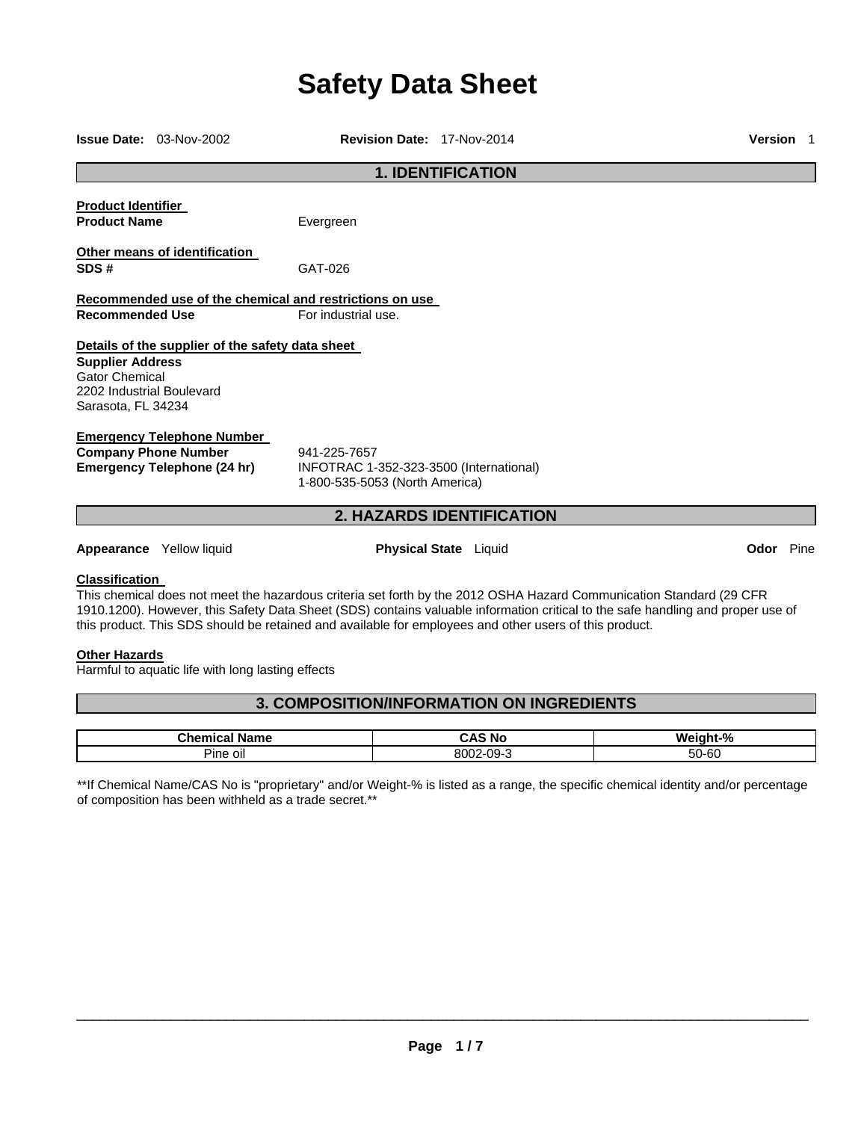# **Safety Data Sheet**

|                                                                                                     | <b>Issue Date: 03-Nov-2002</b>                                                                         | Revision Date: 17-Nov-2014                                                                             |                              |                                                                                                                                                                                                                                                        | <b>Version</b> 1 |  |
|-----------------------------------------------------------------------------------------------------|--------------------------------------------------------------------------------------------------------|--------------------------------------------------------------------------------------------------------|------------------------------|--------------------------------------------------------------------------------------------------------------------------------------------------------------------------------------------------------------------------------------------------------|------------------|--|
| <b>1. IDENTIFICATION</b>                                                                            |                                                                                                        |                                                                                                        |                              |                                                                                                                                                                                                                                                        |                  |  |
| <b>Product Identifier</b><br><b>Product Name</b>                                                    |                                                                                                        | Evergreen                                                                                              |                              |                                                                                                                                                                                                                                                        |                  |  |
| SDS#                                                                                                | Other means of identification                                                                          | GAT-026                                                                                                |                              |                                                                                                                                                                                                                                                        |                  |  |
|                                                                                                     |                                                                                                        | Recommended use of the chemical and restrictions on use                                                |                              |                                                                                                                                                                                                                                                        |                  |  |
| <b>Recommended Use</b>                                                                              |                                                                                                        | For industrial use.                                                                                    |                              |                                                                                                                                                                                                                                                        |                  |  |
| <b>Supplier Address</b><br><b>Gator Chemical</b><br>2202 Industrial Boulevard<br>Sarasota, FL 34234 | Details of the supplier of the safety data sheet                                                       |                                                                                                        |                              |                                                                                                                                                                                                                                                        |                  |  |
|                                                                                                     | <b>Emergency Telephone Number</b><br><b>Company Phone Number</b><br><b>Emergency Telephone (24 hr)</b> | 941-225-7657<br>INFOTRAC 1-352-323-3500 (International)<br>1-800-535-5053 (North America)              |                              |                                                                                                                                                                                                                                                        |                  |  |
| <b>2. HAZARDS IDENTIFICATION</b>                                                                    |                                                                                                        |                                                                                                        |                              |                                                                                                                                                                                                                                                        |                  |  |
|                                                                                                     | Appearance Yellow liquid                                                                               |                                                                                                        | <b>Physical State</b> Liquid |                                                                                                                                                                                                                                                        | <b>Odor</b> Pine |  |
| <b>Classification</b>                                                                               |                                                                                                        | this product. This SDS should be retained and available for employees and other users of this product. |                              | This chemical does not meet the hazardous criteria set forth by the 2012 OSHA Hazard Communication Standard (29 CFR<br>1910.1200). However, this Safety Data Sheet (SDS) contains valuable information critical to the safe handling and proper use of |                  |  |
| <b>Other Hazards</b>                                                                                | Harmful to aquatic life with long lasting effects                                                      |                                                                                                        |                              |                                                                                                                                                                                                                                                        |                  |  |
|                                                                                                     |                                                                                                        | <b>3. COMPOSITION/INFORMATION ON INGREDIENTS</b>                                                       |                              |                                                                                                                                                                                                                                                        |                  |  |

| $\mathsf{u}$ nemin<br>Name<br>Lа | - -<br>۸ с<br>. Nr                                | W۵<br>$^{\circ}$<br>- 70 |
|----------------------------------|---------------------------------------------------|--------------------------|
| Pine<br>oil                      | 8002<br>$-09-$<br>$\overline{\phantom{a}}$<br>. . | 50-60                    |

\*\*If Chemical Name/CAS No is "proprietary" and/or Weight-% is listed as a range, the specific chemical identity and/or percentage of composition has been withheld as a trade secret.\*\*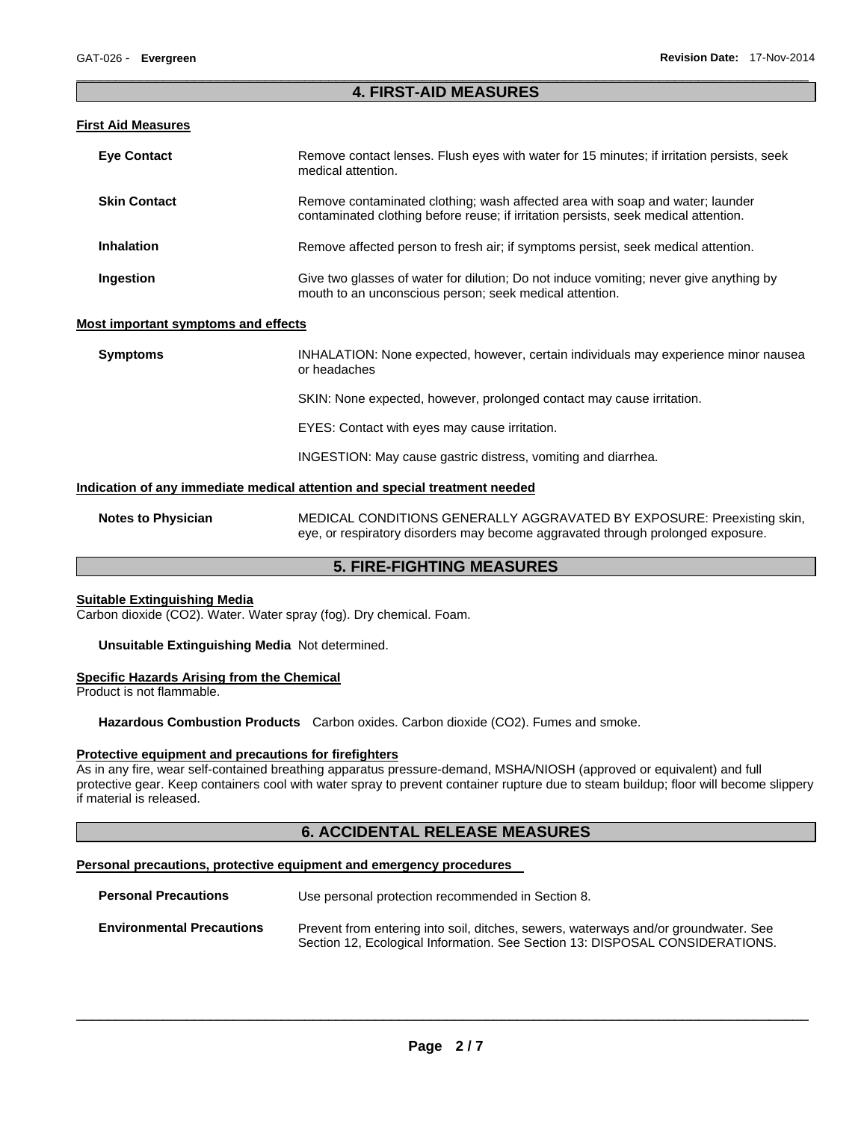# $\Box$ **4. FIRST-AID MEASURES**

### **First Aid Measures**

| <b>Eye Contact</b>  | Remove contact lenses. Flush eyes with water for 15 minutes; if irritation persists, seek<br>medical attention.                                                      |
|---------------------|----------------------------------------------------------------------------------------------------------------------------------------------------------------------|
| <b>Skin Contact</b> | Remove contaminated clothing; wash affected area with soap and water; launder<br>contaminated clothing before reuse; if irritation persists, seek medical attention. |
| <b>Inhalation</b>   | Remove affected person to fresh air; if symptoms persist, seek medical attention.                                                                                    |
| Ingestion           | Give two glasses of water for dilution; Do not induce vomiting; never give anything by<br>mouth to an unconscious person; seek medical attention.                    |

### **Most important symptoms and effects**

| <b>Symptoms</b> | INHALATION: None expected, however, certain individuals may experience minor nausea<br>or headaches |
|-----------------|-----------------------------------------------------------------------------------------------------|
|                 | SKIN: None expected, however, prolonged contact may cause irritation.                               |
|                 | EYES: Contact with eyes may cause irritation.                                                       |
|                 | INGESTION: May cause gastric distress, vomiting and diarrhea.                                       |

### **Indication of any immediate medical attention and special treatment needed**

**Notes to Physician** MEDICAL CONDITIONS GENERALLY AGGRAVATED BY EXPOSURE: Preexisting skin, eye, or respiratory disorders may become aggravated through prolonged exposure.

# **5. FIRE-FIGHTING MEASURES**

### **Suitable Extinguishing Media**

Carbon dioxide (CO2). Water. Water spray (fog). Dry chemical. Foam.

### **Unsuitable Extinguishing Media** Not determined.

### **Specific Hazards Arising from the Chemical**

Product is not flammable.

**Hazardous Combustion Products** Carbon oxides. Carbon dioxide (CO2). Fumes and smoke.

# **Protective equipment and precautions for firefighters**

As in any fire, wear self-contained breathing apparatus pressure-demand, MSHA/NIOSH (approved or equivalent) and full protective gear. Keep containers cool with water spray to prevent container rupture due to steam buildup; floor will become slippery if material is released.

# **6. ACCIDENTAL RELEASE MEASURES**

### **Personal precautions, protective equipment and emergency procedures**

| <b>Personal Precautions</b>      | Use personal protection recommended in Section 8.                                                                                                                   |  |  |
|----------------------------------|---------------------------------------------------------------------------------------------------------------------------------------------------------------------|--|--|
| <b>Environmental Precautions</b> | Prevent from entering into soil, ditches, sewers, waterways and/or groundwater. See<br>Section 12, Ecological Information. See Section 13: DISPOSAL CONSIDERATIONS. |  |  |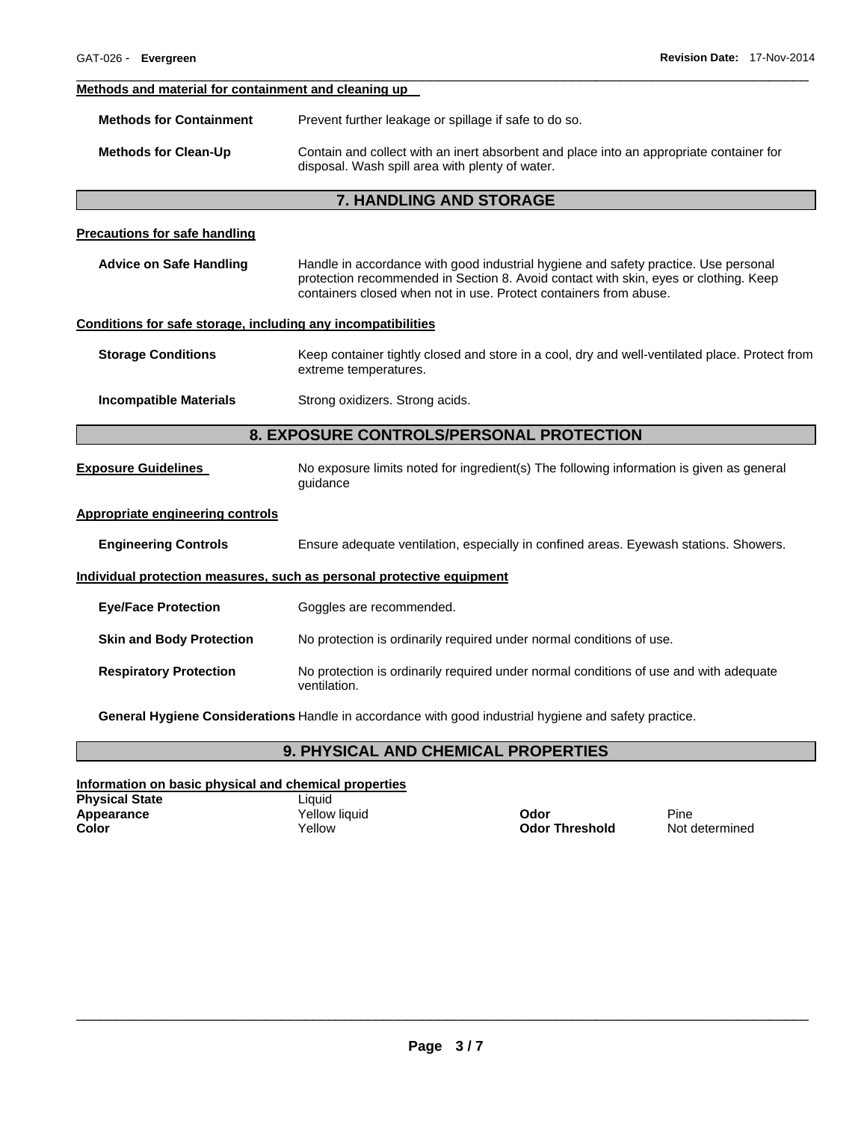### **Methods and material for containment and cleaning up**

| <b>Methods for Containment</b> | Prevent further leakage or spillage if safe to do so.                                                                                      |
|--------------------------------|--------------------------------------------------------------------------------------------------------------------------------------------|
| <b>Methods for Clean-Up</b>    | Contain and collect with an inert absorbent and place into an appropriate container for<br>disposal. Wash spill area with plenty of water. |

 $\Box$ 

### **7. HANDLING AND STORAGE**

### **Precautions for safe handling**

| Advice on Safe Handling | Handle in accordance with good industrial hygiene and safety practice. Use personal  |
|-------------------------|--------------------------------------------------------------------------------------|
|                         | protection recommended in Section 8. Avoid contact with skin, eyes or clothing. Keep |
|                         | containers closed when not in use. Protect containers from abuse.                    |

### **Conditions for safe storage, including any incompatibilities**

| <b>Storage Conditions</b> | Keep container tightly closed and store in a cool, dry and well-ventilated place. Protect from |
|---------------------------|------------------------------------------------------------------------------------------------|
|                           | extreme temperatures.                                                                          |

**Incompatible Materials Strong oxidizers. Strong acids.** 

# **8. EXPOSURE CONTROLS/PERSONAL PROTECTION**

**Exposure Guidelines** No exposure limits noted for ingredient(s) The following information is given as general guidance

# **Appropriate engineering controls**

**Engineering Controls** Ensure adequate ventilation, especially in confined areas. Eyewash stations. Showers.

# **Individual protection measures, such as personal protective equipment**

| <b>Eye/Face Protection</b>      | Goggles are recommended.                                                                              |
|---------------------------------|-------------------------------------------------------------------------------------------------------|
| <b>Skin and Body Protection</b> | No protection is ordinarily required under normal conditions of use.                                  |
| <b>Respiratory Protection</b>   | No protection is ordinarily required under normal conditions of use and with adequate<br>ventilation. |

**General Hygiene Considerations** Handle in accordance with good industrial hygiene and safety practice.

# **9. PHYSICAL AND CHEMICAL PROPERTIES**

### **Information on basic physical and chemical properties**

| <b>Physical State</b> | Liauid        |                       |       |
|-----------------------|---------------|-----------------------|-------|
| Appearance            | Yellow liauid | Odor                  | Pine  |
| Color                 | Yellow        | <b>Odor Threshold</b> | Not c |

**Odor Threshold** Not determined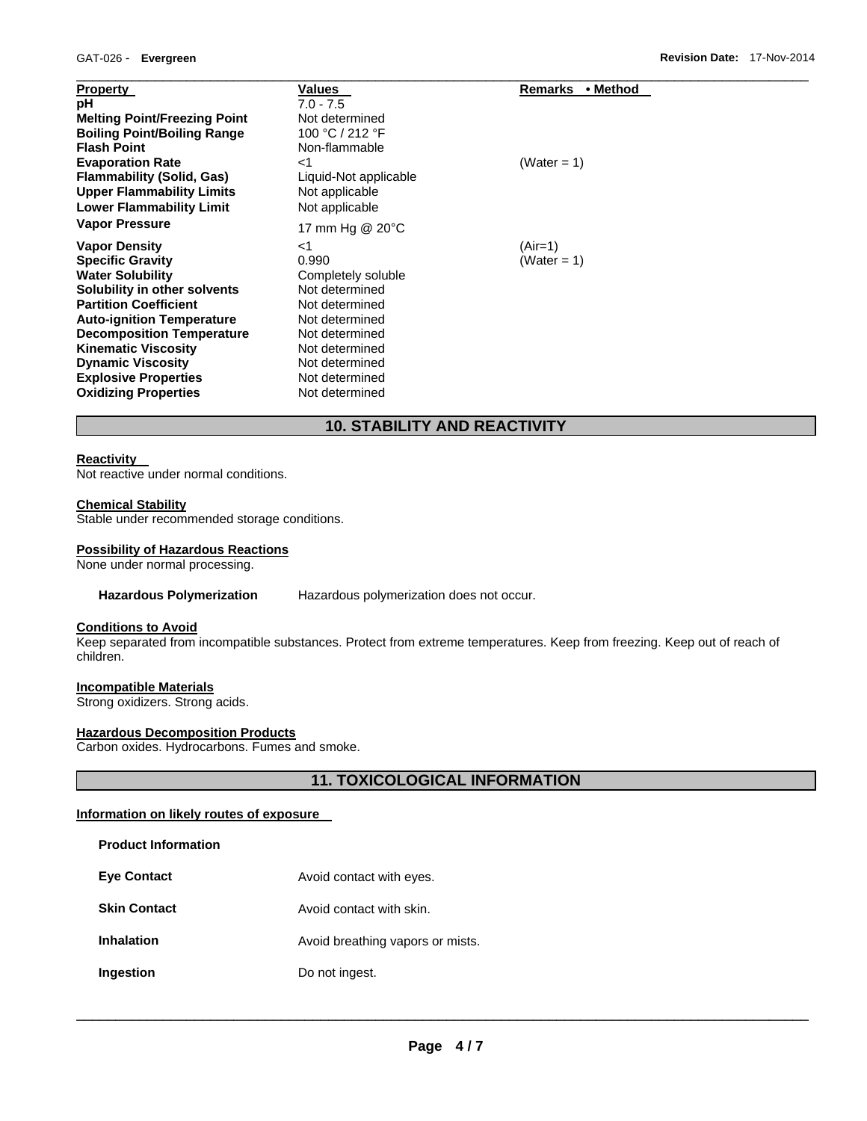| <b>Property</b>                     | <b>Values</b>         | Remarks • Method |
|-------------------------------------|-----------------------|------------------|
| рH                                  | $7.0 - 7.5$           |                  |
| <b>Melting Point/Freezing Point</b> | Not determined        |                  |
| <b>Boiling Point/Boiling Range</b>  | 100 °C / 212 °F       |                  |
| <b>Flash Point</b>                  | Non-flammable         |                  |
| <b>Evaporation Rate</b>             | ا>                    | (Water = 1)      |
| <b>Flammability (Solid, Gas)</b>    | Liquid-Not applicable |                  |
| <b>Upper Flammability Limits</b>    | Not applicable        |                  |
| <b>Lower Flammability Limit</b>     | Not applicable        |                  |
| <b>Vapor Pressure</b>               | 17 mm Hg @ 20°C       |                  |
| <b>Vapor Density</b>                | ا>                    | $(Air=1)$        |
| <b>Specific Gravity</b>             | 0.990                 | (Water = 1)      |
| <b>Water Solubility</b>             | Completely soluble    |                  |
| Solubility in other solvents        | Not determined        |                  |
| <b>Partition Coefficient</b>        | Not determined        |                  |
| <b>Auto-ignition Temperature</b>    | Not determined        |                  |
| <b>Decomposition Temperature</b>    | Not determined        |                  |
| <b>Kinematic Viscosity</b>          | Not determined        |                  |
| <b>Dynamic Viscosity</b>            | Not determined        |                  |
| <b>Explosive Properties</b>         | Not determined        |                  |
| <b>Oxidizing Properties</b>         | Not determined        |                  |

# **10. STABILITY AND REACTIVITY**

### **Reactivity**

Not reactive under normal conditions.

### **Chemical Stability**

Stable under recommended storage conditions.

### **Possibility of Hazardous Reactions**

None under normal processing.

### **Hazardous Polymerization** Hazardous polymerization does not occur.

# **Conditions to Avoid**

Keep separated from incompatible substances. Protect from extreme temperatures. Keep from freezing. Keep out of reach of children.

#### **Incompatible Materials**

Strong oxidizers. Strong acids.

# **Hazardous Decomposition Products**

Carbon oxides. Hydrocarbons. Fumes and smoke.

# **11. TOXICOLOGICAL INFORMATION**

# **Information on likely routes of exposure**

| <b>Product Information</b> |  |
|----------------------------|--|
|----------------------------|--|

| <b>Eye Contact</b>  | Avoid contact with eyes.         |
|---------------------|----------------------------------|
| <b>Skin Contact</b> | Avoid contact with skin.         |
| <b>Inhalation</b>   | Avoid breathing vapors or mists. |
| Ingestion           | Do not ingest.                   |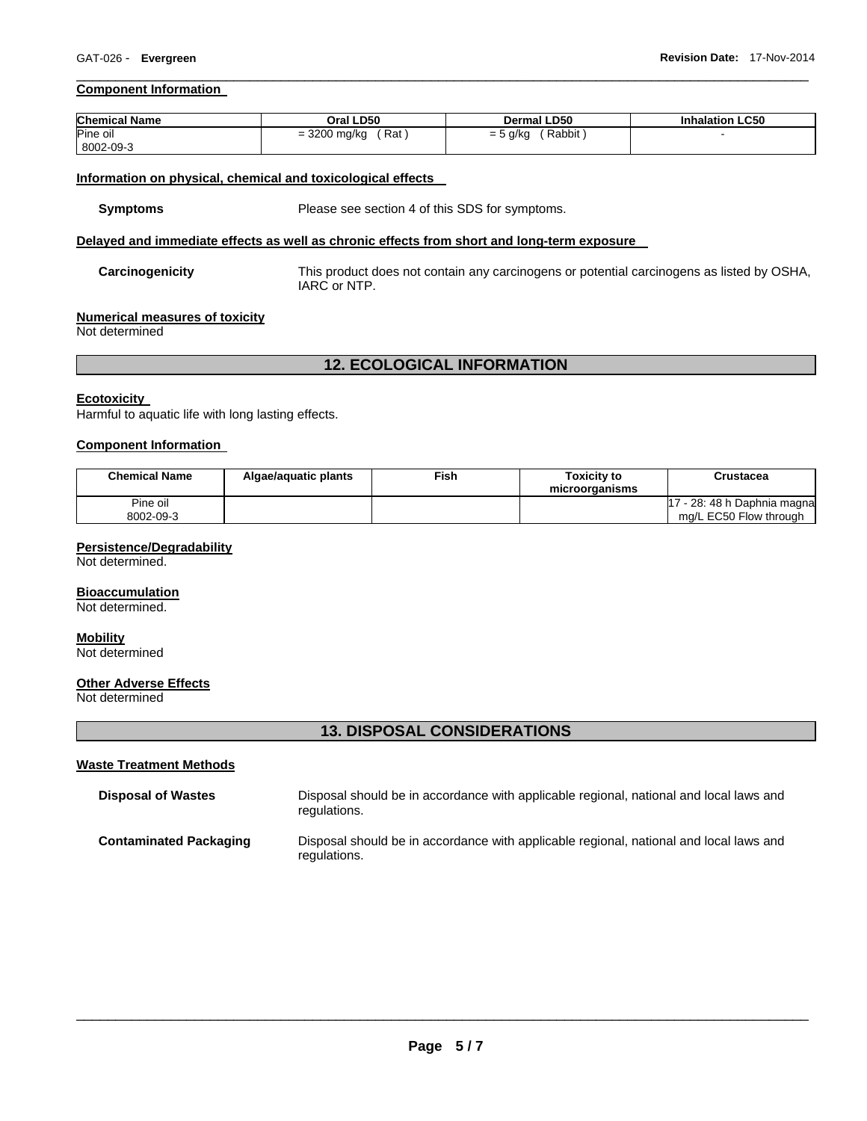### **Component Information**

| <b>Chemical Name</b> | Oral LD50           | <b>Dermal LD50</b>   | <b>Inhalation LC50</b> |
|----------------------|---------------------|----------------------|------------------------|
| Pine oil             | = 3200 mg/kg<br>Rat | Rabbit<br>$= 5$ g/kg |                        |
| 8002-09-3            |                     |                      |                        |

 $\Box$ 

### **Information on physical, chemical and toxicological effects**

**Symptoms** Please see section 4 of this SDS for symptoms.

# **Delayed and immediate effects as well as chronic effects from short and long-term exposure**

**Carcinogenicity** This product does not contain any carcinogens or potential carcinogens as listed by OSHA, IARC or NTP.

#### **Numerical measures of toxicity**

Not determined

# **12. ECOLOGICAL INFORMATION**

### **Ecotoxicity**

Harmful to aquatic life with long lasting effects.

### **Component Information**

| <b>Chemical Name</b>  | Algae/aquatic plants | ≂ish∶ | <b>Toxicity to</b><br>microorganisms | Crustacea                                              |
|-----------------------|----------------------|-------|--------------------------------------|--------------------------------------------------------|
| Pine oil<br>8002-09-3 |                      |       |                                      | 17 - 28: 48 h Daphnia magnal<br>mg/L EC50 Flow through |

### **Persistence/Degradability**

Not determined.

### **Bioaccumulation**

Not determined.

# **Mobility**

Not determined

### **Other Adverse Effects**

Not determined

# **13. DISPOSAL CONSIDERATIONS**

#### **Waste Treatment Methods**

| <b>Disposal of Wastes</b>     | Disposal should be in accordance with applicable regional, national and local laws and<br>regulations. |
|-------------------------------|--------------------------------------------------------------------------------------------------------|
| <b>Contaminated Packaging</b> | Disposal should be in accordance with applicable regional, national and local laws and<br>regulations. |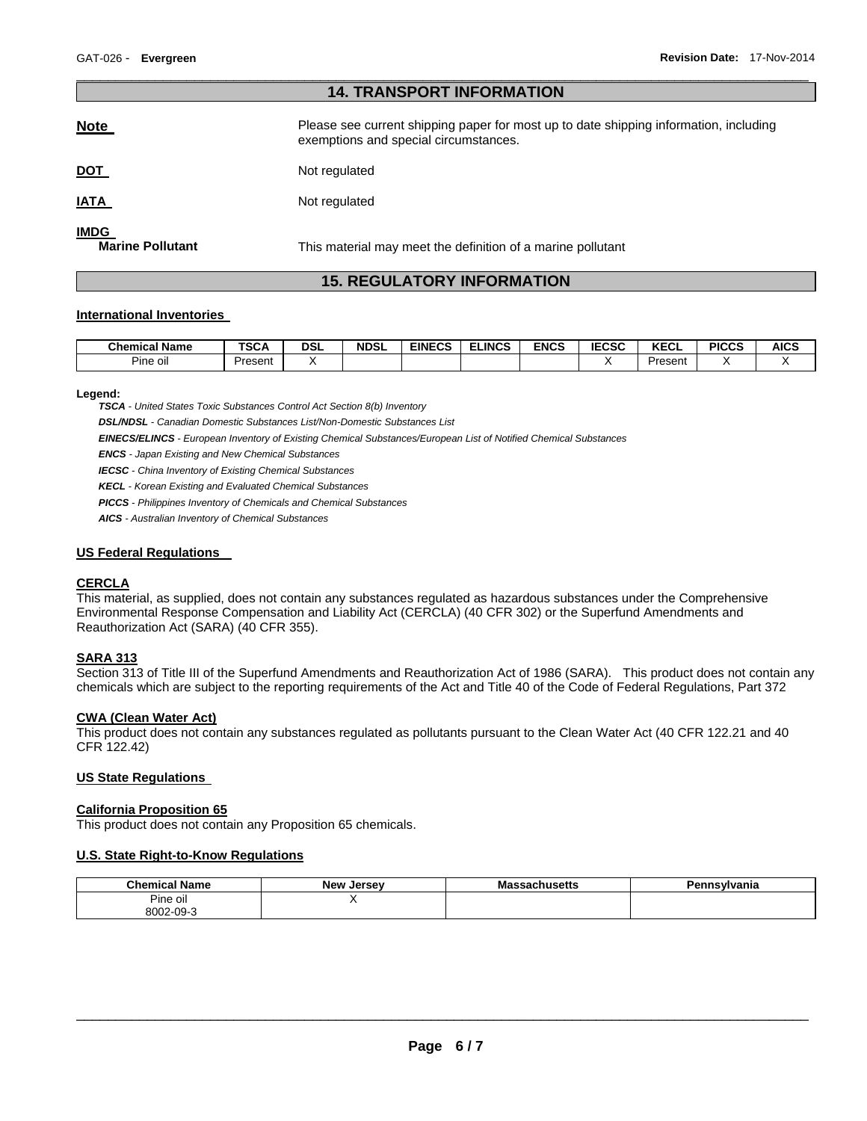|                                        | <b>14. TRANSPORT INFORMATION</b>                                                                                               |
|----------------------------------------|--------------------------------------------------------------------------------------------------------------------------------|
| <b>Note</b>                            | Please see current shipping paper for most up to date shipping information, including<br>exemptions and special circumstances. |
| <u>DOT</u>                             | Not regulated                                                                                                                  |
| <u>IATA</u>                            | Not regulated                                                                                                                  |
| <b>IMDG</b><br><b>Marine Pollutant</b> | This material may meet the definition of a marine pollutant                                                                    |

 $\Box$ 

# **15. REGULATORY INFORMATION**

### **International Inventories**

| <b>Chemical Name</b>         | <b>TSCA</b> | <b>DSL</b> | <b>NDSL</b> | <b>EINECS</b> | <b>ELINCS</b> | <b>ENCS</b> | IFABA<br>н.<br>ີ∟ບວບ | <b>KECL</b> | <b>PICCS</b> | <b>AICS</b> |
|------------------------------|-------------|------------|-------------|---------------|---------------|-------------|----------------------|-------------|--------------|-------------|
| $\mathbf{r}$<br><br>Pine oil | Present     |            |             |               |               |             |                      | Present     |              |             |

**Legend:** 

*TSCA - United States Toxic Substances Control Act Section 8(b) Inventory* 

*DSL/NDSL - Canadian Domestic Substances List/Non-Domestic Substances List* 

*EINECS/ELINCS - European Inventory of Existing Chemical Substances/European List of Notified Chemical Substances* 

*ENCS - Japan Existing and New Chemical Substances* 

*IECSC - China Inventory of Existing Chemical Substances* 

*KECL - Korean Existing and Evaluated Chemical Substances* 

*PICCS - Philippines Inventory of Chemicals and Chemical Substances* 

*AICS - Australian Inventory of Chemical Substances* 

### **US Federal Regulations**

# **CERCLA**

This material, as supplied, does not contain any substances regulated as hazardous substances under the Comprehensive Environmental Response Compensation and Liability Act (CERCLA) (40 CFR 302) or the Superfund Amendments and Reauthorization Act (SARA) (40 CFR 355).

### **SARA 313**

Section 313 of Title III of the Superfund Amendments and Reauthorization Act of 1986 (SARA). This product does not contain any chemicals which are subject to the reporting requirements of the Act and Title 40 of the Code of Federal Regulations, Part 372

# **CWA (Clean Water Act)**

This product does not contain any substances regulated as pollutants pursuant to the Clean Water Act (40 CFR 122.21 and 40 CFR 122.42)

### **US State Regulations**

#### **California Proposition 65**

This product does not contain any Proposition 65 chemicals.

#### **U.S. State Right-to-Know Regulations**

| <b>Chemical Name</b> | <b>New</b><br>Jersev | <br>sachusetts<br>ма | Pennsvlvania |
|----------------------|----------------------|----------------------|--------------|
| Pine oil             |                      |                      |              |
| 8002-09-3            |                      |                      |              |